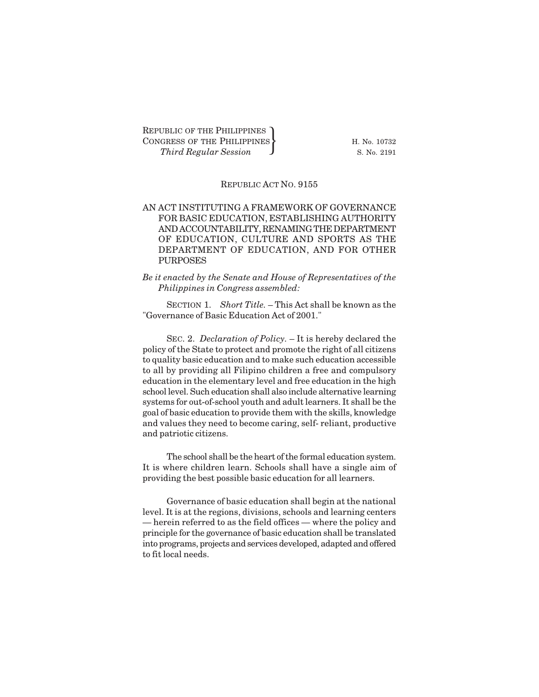REPUBLIC OF THE PHILIPPINES CONGRESS OF THE PHILIPPINES  $\}$  H. No. 10732 UBLIC OF THE PHILIPPINES<br>GRESS OF THE PHILIPPINES<br>*Third Regular Session* 8. No. 2191

## REPUBLIC ACT NO. 9155

# AN ACT INSTITUTING A FRAMEWORK OF GOVERNANCE FOR BASIC EDUCATION, ESTABLISHING AUTHORITY AND ACCOUNTABILITY, RENAMING THE DEPARTMENT OF EDUCATION, CULTURE AND SPORTS AS THE DEPARTMENT OF EDUCATION, AND FOR OTHER PURPOSES

*Be it enacted by the Senate and House of Representatives of the Philippines in Congress assembled:*

SECTION 1. Short Title. - This Act shall be known as the "Governance of Basic Education Act of 2001."

SEC. 2. *Declaration of Policy.* – It is hereby declared the policy of the State to protect and promote the right of all citizens to quality basic education and to make such education accessible to all by providing all Filipino children a free and compulsory education in the elementary level and free education in the high school level. Such education shall also include alternative learning systems for out-of-school youth and adult learners. It shall be the goal of basic education to provide them with the skills, knowledge and values they need to become caring, self- reliant, productive and patriotic citizens.

The school shall be the heart of the formal education system. It is where children learn. Schools shall have a single aim of providing the best possible basic education for all learners.

Governance of basic education shall begin at the national level. It is at the regions, divisions, schools and learning centers — herein referred to as the field offices — where the policy and principle for the governance of basic education shall be translated into programs, projects and services developed, adapted and offered to fit local needs.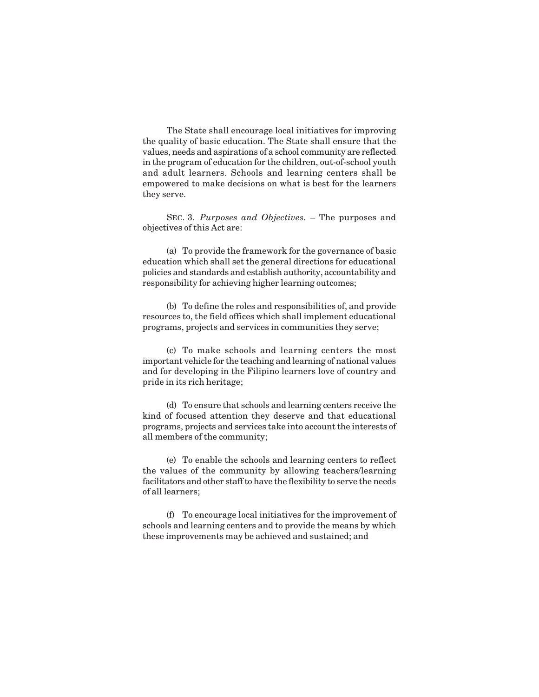The State shall encourage local initiatives for improving the quality of basic education. The State shall ensure that the values, needs and aspirations of a school community are reflected in the program of education for the children, out-of-school youth and adult learners. Schools and learning centers shall be empowered to make decisions on what is best for the learners they serve.

SEC. 3. *Purposes and Objectives.* – The purposes and objectives of this Act are:

(a) To provide the framework for the governance of basic education which shall set the general directions for educational policies and standards and establish authority, accountability and responsibility for achieving higher learning outcomes;

(b) To define the roles and responsibilities of, and provide resources to, the field offices which shall implement educational programs, projects and services in communities they serve;

(c) To make schools and learning centers the most important vehicle for the teaching and learning of national values and for developing in the Filipino learners love of country and pride in its rich heritage;

(d) To ensure that schools and learning centers receive the kind of focused attention they deserve and that educational programs, projects and services take into account the interests of all members of the community;

(e) To enable the schools and learning centers to reflect the values of the community by allowing teachers/learning facilitators and other staff to have the flexibility to serve the needs of all learners;

(f) To encourage local initiatives for the improvement of schools and learning centers and to provide the means by which these improvements may be achieved and sustained; and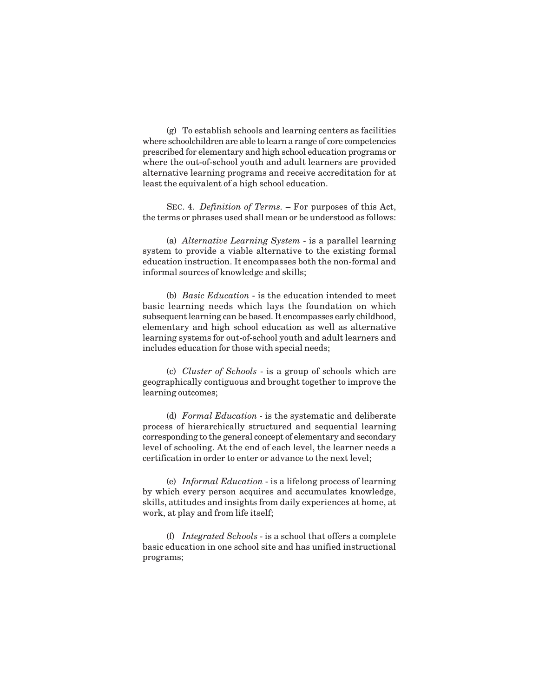(g) To establish schools and learning centers as facilities where schoolchildren are able to learn a range of core competencies prescribed for elementary and high school education programs or where the out-of-school youth and adult learners are provided alternative learning programs and receive accreditation for at least the equivalent of a high school education.

SEC. 4. *Definition of Terms.* – For purposes of this Act, the terms or phrases used shall mean or be understood as follows:

(a) *Alternative Learning System* - is a parallel learning system to provide a viable alternative to the existing formal education instruction. It encompasses both the non-formal and informal sources of knowledge and skills;

(b) *Basic Education* - is the education intended to meet basic learning needs which lays the foundation on which subsequent learning can be based. It encompasses early childhood, elementary and high school education as well as alternative learning systems for out-of-school youth and adult learners and includes education for those with special needs;

(c) *Cluster of Schools* - is a group of schools which are geographically contiguous and brought together to improve the learning outcomes;

(d) *Formal Education* - is the systematic and deliberate process of hierarchically structured and sequential learning corresponding to the general concept of elementary and secondary level of schooling. At the end of each level, the learner needs a certification in order to enter or advance to the next level;

(e) *Informal Education* - is a lifelong process of learning by which every person acquires and accumulates knowledge, skills, attitudes and insights from daily experiences at home, at work, at play and from life itself;

(f) *Integrated Schools* - is a school that offers a complete basic education in one school site and has unified instructional programs;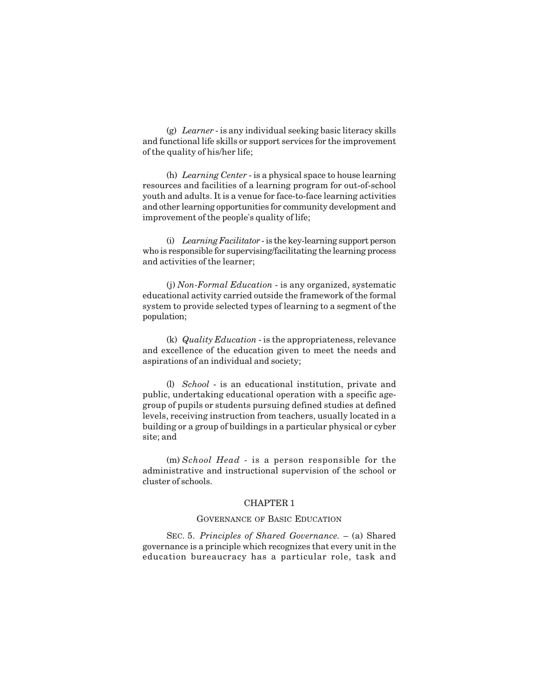(g) *Learner* - is any individual seeking basic literacy skills and functional life skills or support services for the improvement of the quality of his/her life;

(h) *Learning Center* - is a physical space to house learning resources and facilities of a learning program for out-of-school youth and adults. It is a venue for face-to-face learning activities and other learning opportunities for community development and improvement of the people's quality of life;

(i) *Learning Facilitator* - is the key-learning support person who is responsible for supervising/facilitating the learning process and activities of the learner;

(j) *Non-Formal Education* - is any organized, systematic educational activity carried outside the framework of the formal system to provide selected types of learning to a segment of the population;

(k) *Quality Education* - is the appropriateness, relevance and excellence of the education given to meet the needs and aspirations of an individual and society;

(l) *School* - is an educational institution, private and public, undertaking educational operation with a specific agegroup of pupils or students pursuing defined studies at defined levels, receiving instruction from teachers, usually located in a building or a group of buildings in a particular physical or cyber site; and

(m) *School Head* - is a person responsible for the administrative and instructional supervision of the school or cluster of schools.

# CHAPTER 1

# GOVERNANCE OF BASIC EDUCATION

SEC. 5. *Principles of Shared Governance.* – (a) Shared governance is a principle which recognizes that every unit in the education bureaucracy has a particular role, task and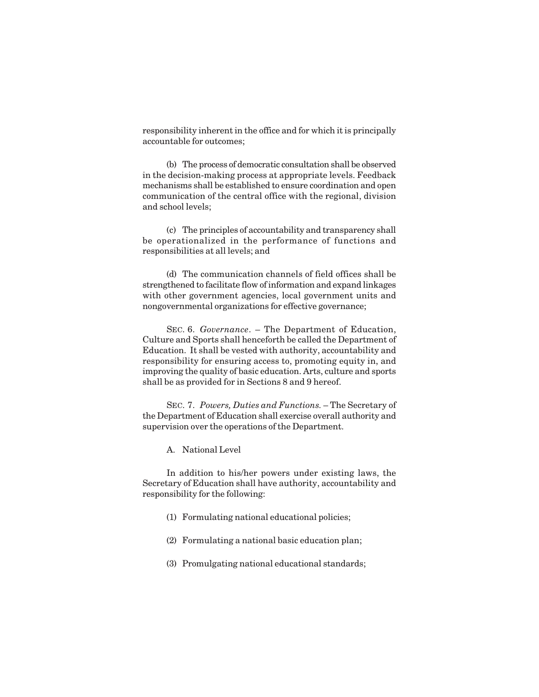responsibility inherent in the office and for which it is principally accountable for outcomes;

(b) The process of democratic consultation shall be observed in the decision-making process at appropriate levels. Feedback mechanisms shall be established to ensure coordination and open communication of the central office with the regional, division and school levels;

(c) The principles of accountability and transparency shall be operationalized in the performance of functions and responsibilities at all levels; and

(d) The communication channels of field offices shall be strengthened to facilitate flow of information and expand linkages with other government agencies, local government units and nongovernmental organizations for effective governance;

SEC. 6. *Governance*. – The Department of Education, Culture and Sports shall henceforth be called the Department of Education. It shall be vested with authority, accountability and responsibility for ensuring access to, promoting equity in, and improving the quality of basic education. Arts, culture and sports shall be as provided for in Sections 8 and 9 hereof.

SEC. 7. *Powers, Duties and Functions.* – The Secretary of the Department of Education shall exercise overall authority and supervision over the operations of the Department.

A. National Level

In addition to his/her powers under existing laws, the Secretary of Education shall have authority, accountability and responsibility for the following:

- (1) Formulating national educational policies;
- (2) Formulating a national basic education plan;
- (3) Promulgating national educational standards;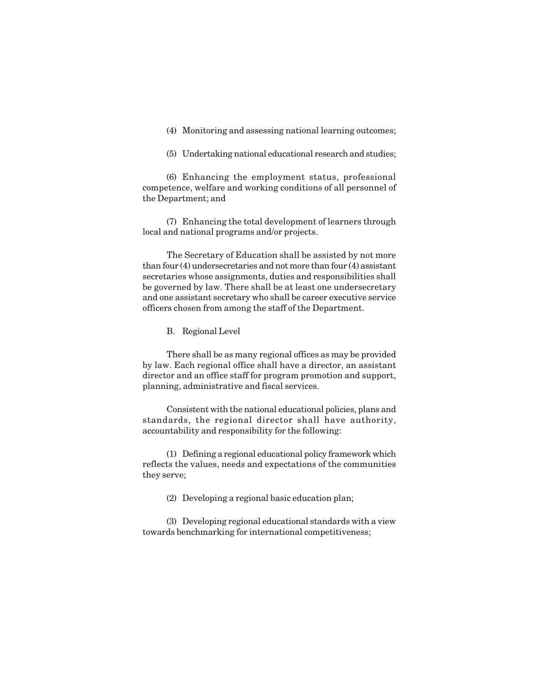(4) Monitoring and assessing national learning outcomes;

(5) Undertaking national educational research and studies;

(6) Enhancing the employment status, professional competence, welfare and working conditions of all personnel of the Department; and

(7) Enhancing the total development of learners through local and national programs and/or projects.

The Secretary of Education shall be assisted by not more than four (4) undersecretaries and not more than four (4) assistant secretaries whose assignments, duties and responsibilities shall be governed by law. There shall be at least one undersecretary and one assistant secretary who shall be career executive service officers chosen from among the staff of the Department.

B. Regional Level

There shall be as many regional offices as may be provided by law. Each regional office shall have a director, an assistant director and an office staff for program promotion and support, planning, administrative and fiscal services.

Consistent with the national educational policies, plans and standards, the regional director shall have authority, accountability and responsibility for the following:

(1) Defining a regional educational policy framework which reflects the values, needs and expectations of the communities they serve;

(2) Developing a regional basic education plan;

(3) Developing regional educational standards with a view towards benchmarking for international competitiveness;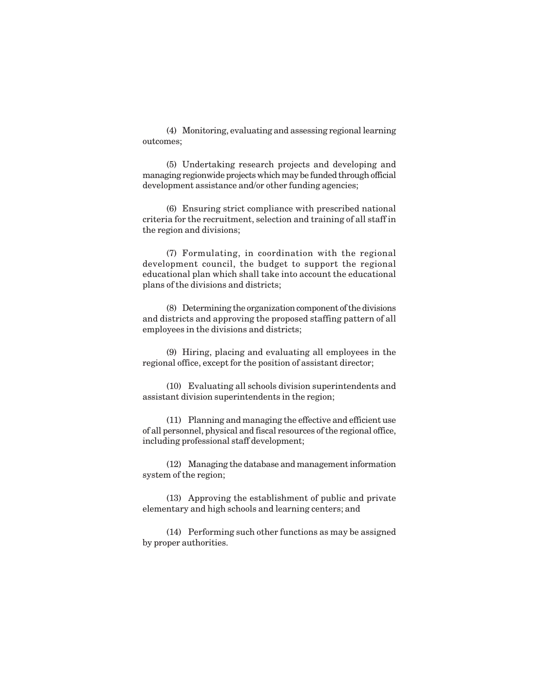(4) Monitoring, evaluating and assessing regional learning outcomes;

(5) Undertaking research projects and developing and managing regionwide projects which may be funded through official development assistance and/or other funding agencies;

(6) Ensuring strict compliance with prescribed national criteria for the recruitment, selection and training of all staff in the region and divisions;

(7) Formulating, in coordination with the regional development council, the budget to support the regional educational plan which shall take into account the educational plans of the divisions and districts;

(8) Determining the organization component of the divisions and districts and approving the proposed staffing pattern of all employees in the divisions and districts;

(9) Hiring, placing and evaluating all employees in the regional office, except for the position of assistant director;

(10) Evaluating all schools division superintendents and assistant division superintendents in the region;

(11) Planning and managing the effective and efficient use of all personnel, physical and fiscal resources of the regional office, including professional staff development;

(12) Managing the database and management information system of the region;

(13) Approving the establishment of public and private elementary and high schools and learning centers; and

(14) Performing such other functions as may be assigned by proper authorities.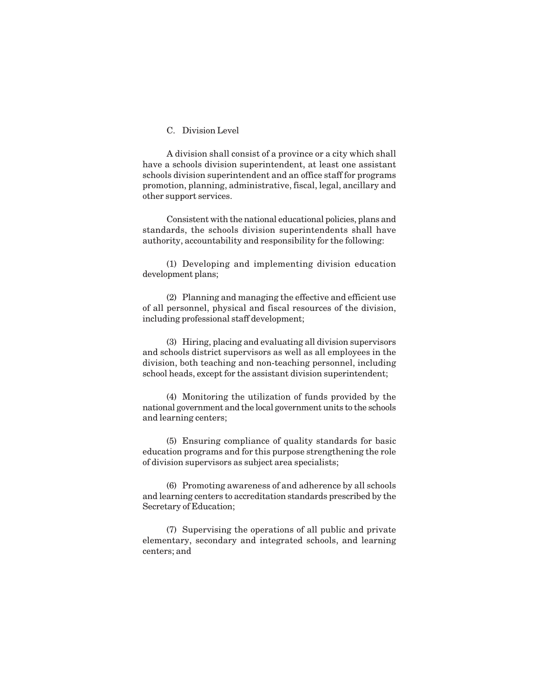# C. Division Level

A division shall consist of a province or a city which shall have a schools division superintendent, at least one assistant schools division superintendent and an office staff for programs promotion, planning, administrative, fiscal, legal, ancillary and other support services.

Consistent with the national educational policies, plans and standards, the schools division superintendents shall have authority, accountability and responsibility for the following:

(1) Developing and implementing division education development plans;

(2) Planning and managing the effective and efficient use of all personnel, physical and fiscal resources of the division, including professional staff development;

(3) Hiring, placing and evaluating all division supervisors and schools district supervisors as well as all employees in the division, both teaching and non-teaching personnel, including school heads, except for the assistant division superintendent;

(4) Monitoring the utilization of funds provided by the national government and the local government units to the schools and learning centers;

(5) Ensuring compliance of quality standards for basic education programs and for this purpose strengthening the role of division supervisors as subject area specialists;

(6) Promoting awareness of and adherence by all schools and learning centers to accreditation standards prescribed by the Secretary of Education;

(7) Supervising the operations of all public and private elementary, secondary and integrated schools, and learning centers; and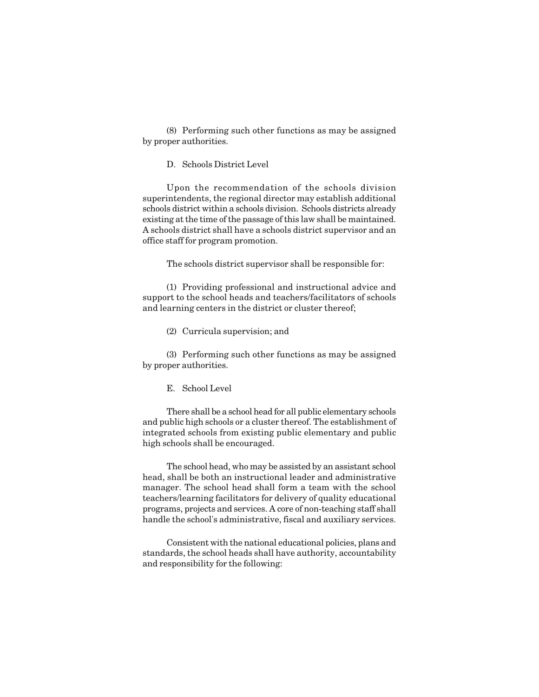(8) Performing such other functions as may be assigned by proper authorities.

D. Schools District Level

Upon the recommendation of the schools division superintendents, the regional director may establish additional schools district within a schools division. Schools districts already existing at the time of the passage of this law shall be maintained. A schools district shall have a schools district supervisor and an office staff for program promotion.

The schools district supervisor shall be responsible for:

(1) Providing professional and instructional advice and support to the school heads and teachers/facilitators of schools and learning centers in the district or cluster thereof;

(2) Curricula supervision; and

(3) Performing such other functions as may be assigned by proper authorities.

E. School Level

There shall be a school head for all public elementary schools and public high schools or a cluster thereof. The establishment of integrated schools from existing public elementary and public high schools shall be encouraged.

The school head, who may be assisted by an assistant school head, shall be both an instructional leader and administrative manager. The school head shall form a team with the school teachers/learning facilitators for delivery of quality educational programs, projects and services. A core of non-teaching staff shall handle the school's administrative, fiscal and auxiliary services.

Consistent with the national educational policies, plans and standards, the school heads shall have authority, accountability and responsibility for the following: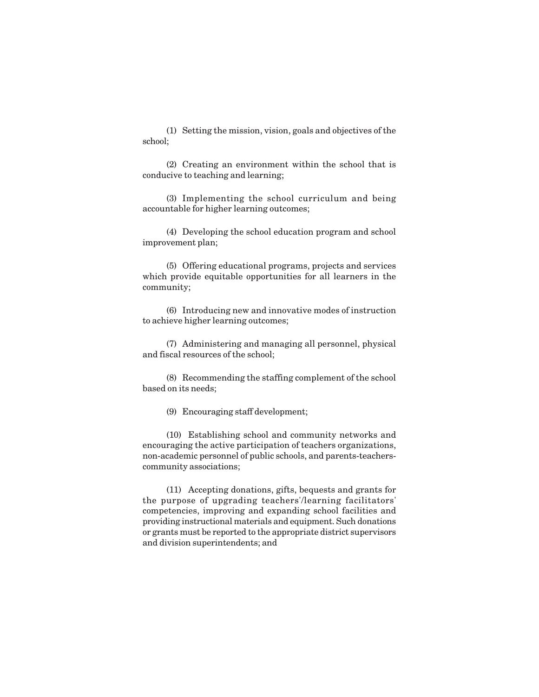(1) Setting the mission, vision, goals and objectives of the school;

(2) Creating an environment within the school that is conducive to teaching and learning;

(3) Implementing the school curriculum and being accountable for higher learning outcomes;

(4) Developing the school education program and school improvement plan;

(5) Offering educational programs, projects and services which provide equitable opportunities for all learners in the community;

(6) Introducing new and innovative modes of instruction to achieve higher learning outcomes;

(7) Administering and managing all personnel, physical and fiscal resources of the school;

(8) Recommending the staffing complement of the school based on its needs;

(9) Encouraging staff development;

(10) Establishing school and community networks and encouraging the active participation of teachers organizations, non-academic personnel of public schools, and parents-teacherscommunity associations;

(11) Accepting donations, gifts, bequests and grants for the purpose of upgrading teachers'/learning facilitators' competencies, improving and expanding school facilities and providing instructional materials and equipment. Such donations or grants must be reported to the appropriate district supervisors and division superintendents; and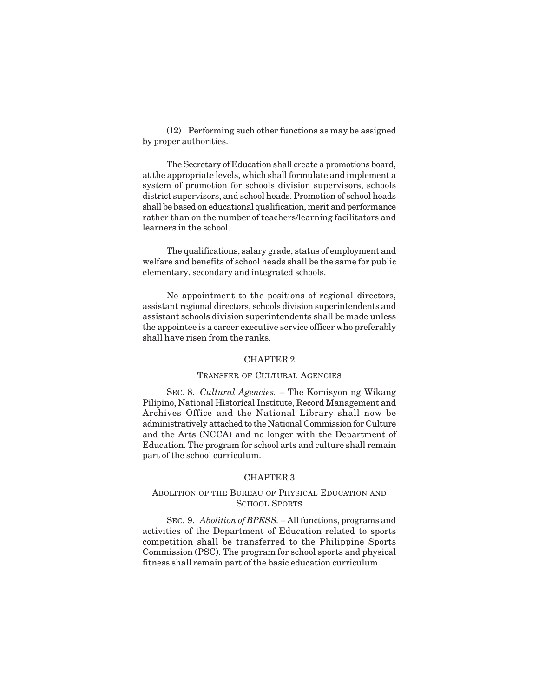(12) Performing such other functions as may be assigned by proper authorities.

The Secretary of Education shall create a promotions board, at the appropriate levels, which shall formulate and implement a system of promotion for schools division supervisors, schools district supervisors, and school heads. Promotion of school heads shall be based on educational qualification, merit and performance rather than on the number of teachers/learning facilitators and learners in the school.

The qualifications, salary grade, status of employment and welfare and benefits of school heads shall be the same for public elementary, secondary and integrated schools.

No appointment to the positions of regional directors, assistant regional directors, schools division superintendents and assistant schools division superintendents shall be made unless the appointee is a career executive service officer who preferably shall have risen from the ranks.

### CHAPTER 2

### TRANSFER OF CULTURAL AGENCIES

SEC. 8. *Cultural Agencies.* – The Komisyon ng Wikang Pilipino, National Historical Institute, Record Management and Archives Office and the National Library shall now be administratively attached to the National Commission for Culture and the Arts (NCCA) and no longer with the Department of Education. The program for school arts and culture shall remain part of the school curriculum.

#### CHAPTER 3

## ABOLITION OF THE BUREAU OF PHYSICAL EDUCATION AND SCHOOL SPORTS

SEC. 9. *Abolition of BPESS.* – All functions, programs and activities of the Department of Education related to sports competition shall be transferred to the Philippine Sports Commission (PSC). The program for school sports and physical fitness shall remain part of the basic education curriculum.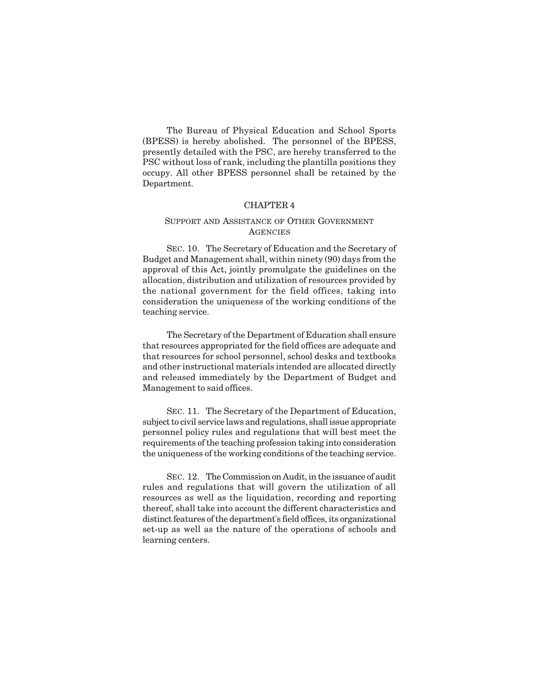The Bureau of Physical Education and School Sports (BPESS) is hereby abolished. The personnel of the BPESS, presently detailed with the PSC, are hereby transferred to the PSC without loss of rank, including the plantilla positions they occupy. All other BPESS personnel shall be retained by the Department.

## CHAPTER 4

## SUPPORT AND ASSISTANCE OF OTHER GOVERNMENT **AGENCIES**

SEC. 10. The Secretary of Education and the Secretary of Budget and Management shall, within ninety (90) days from the approval of this Act, jointly promulgate the guidelines on the allocation, distribution and utilization of resources provided by the national government for the field offices, taking into consideration the uniqueness of the working conditions of the teaching service.

The Secretary of the Department of Education shall ensure that resources appropriated for the field offices are adequate and that resources for school personnel, school desks and textbooks and other instructional materials intended are allocated directly and released immediately by the Department of Budget and Management to said offices.

SEC. 11. The Secretary of the Department of Education, subject to civil service laws and regulations, shall issue appropriate personnel policy rules and regulations that will best meet the requirements of the teaching profession taking into consideration the uniqueness of the working conditions of the teaching service.

SEC. 12. The Commission on Audit, in the issuance of audit rules and regulations that will govern the utilization of all resources as well as the liquidation, recording and reporting thereof, shall take into account the different characteristics and distinct features of the department's field offices, its organizational set-up as well as the nature of the operations of schools and learning centers.